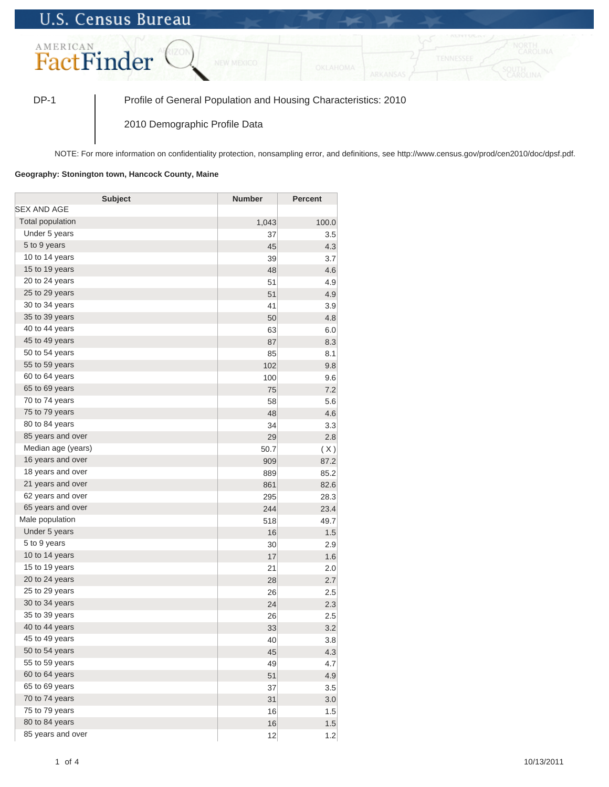## **U.S. Census Bureau**



DP-1 Profile of General Population and Housing Characteristics: 2010

2010 Demographic Profile Data

NOTE: For more information on confidentiality protection, nonsampling error, and definitions, see http://www.census.gov/prod/cen2010/doc/dpsf.pdf.

## **Geography: Stonington town, Hancock County, Maine**

| <b>Subject</b>     | <b>Number</b> | <b>Percent</b> |
|--------------------|---------------|----------------|
| SEX AND AGE        |               |                |
| Total population   | 1,043         | 100.0          |
| Under 5 years      | 37            | 3.5            |
| 5 to 9 years       | 45            | 4.3            |
| 10 to 14 years     | 39            | 3.7            |
| 15 to 19 years     | 48            | 4.6            |
| 20 to 24 years     | 51            | 4.9            |
| 25 to 29 years     | 51            | 4.9            |
| 30 to 34 years     | 41            | 3.9            |
| 35 to 39 years     | 50            | 4.8            |
| 40 to 44 years     | 63            | 6.0            |
| 45 to 49 years     | 87            | 8.3            |
| 50 to 54 years     | 85            | 8.1            |
| 55 to 59 years     | 102           | 9.8            |
| 60 to 64 years     | 100           | 9.6            |
| 65 to 69 years     | 75            | 7.2            |
| 70 to 74 years     | 58            | 5.6            |
| 75 to 79 years     | 48            | 4.6            |
| 80 to 84 years     | 34            | 3.3            |
| 85 years and over  | 29            | 2.8            |
| Median age (years) | 50.7          | (X)            |
| 16 years and over  | 909           | 87.2           |
| 18 years and over  | 889           | 85.2           |
| 21 years and over  | 861           | 82.6           |
| 62 years and over  | 295           | 28.3           |
| 65 years and over  | 244           | 23.4           |
| Male population    | 518           | 49.7           |
| Under 5 years      | 16            | 1.5            |
| 5 to 9 years       | 30            | 2.9            |
| 10 to 14 years     | 17            | 1.6            |
| 15 to 19 years     | 21            | 2.0            |
| 20 to 24 years     | 28            | 2.7            |
| 25 to 29 years     | 26            | 2.5            |
| 30 to 34 years     | 24            | 2.3            |
| 35 to 39 years     | 26            | 2.5            |
| 40 to 44 years     | 33            | 3.2            |
| 45 to 49 years     | 40            | 3.8            |
| 50 to 54 years     | 45            | 4.3            |
| 55 to 59 years     | 49            | 4.7            |
| 60 to 64 years     | 51            | 4.9            |
| 65 to 69 years     | 37            | 3.5            |
| 70 to 74 years     | 31            | 3.0            |
| 75 to 79 years     | 16            | 1.5            |
| 80 to 84 years     | 16            | 1.5            |
| 85 years and over  | 12            | 1.2            |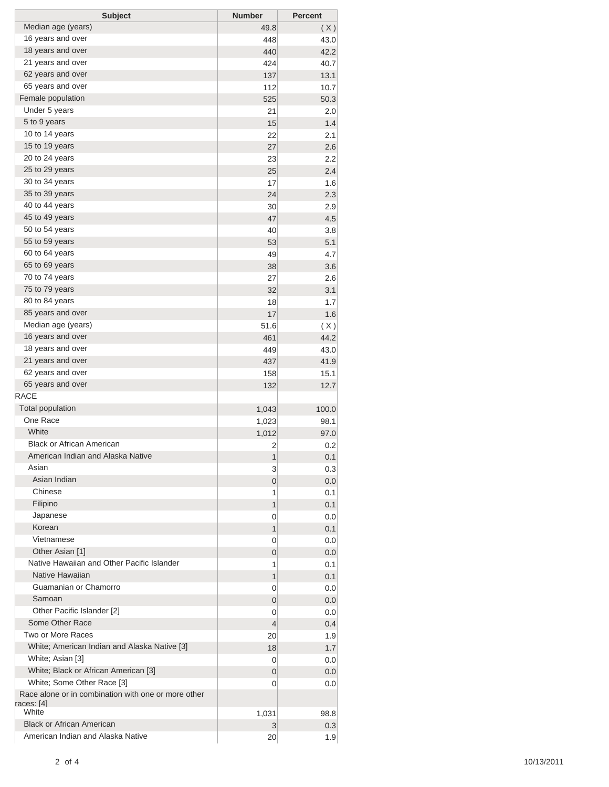| <b>Subject</b>                                      | <b>Number</b> | <b>Percent</b> |
|-----------------------------------------------------|---------------|----------------|
| Median age (years)                                  | 49.8          | (X)            |
| 16 years and over                                   | 448           | 43.0           |
| 18 years and over                                   | 440           | 42.2           |
| 21 years and over                                   | 424           | 40.7           |
| 62 years and over                                   | 137           | 13.1           |
| 65 years and over                                   | 112           | 10.7           |
| Female population                                   | 525           | 50.3           |
| Under 5 years                                       | 21            | 2.0            |
| 5 to 9 years                                        | 15            | 1.4            |
| 10 to 14 years                                      | 22            | 2.1            |
| 15 to 19 years                                      | 27            | 2.6            |
| 20 to 24 years                                      | 23            | 2.2            |
| 25 to 29 years                                      | 25            | 2.4            |
| 30 to 34 years                                      | 17            | 1.6            |
| 35 to 39 years                                      | 24            | 2.3            |
| 40 to 44 years                                      | 30            | 2.9            |
| 45 to 49 years                                      | 47            | 4.5            |
| 50 to 54 years                                      | 40            | 3.8            |
| 55 to 59 years                                      | 53            | 5.1            |
| 60 to 64 years                                      | 49            | 4.7            |
| 65 to 69 years                                      | 38            | 3.6            |
| 70 to 74 years                                      | 27            | 2.6            |
| 75 to 79 years                                      | 32            | 3.1            |
| 80 to 84 years                                      | 18            | 1.7            |
| 85 years and over                                   | 17            |                |
| Median age (years)                                  |               | 1.6            |
|                                                     | 51.6          | (X)            |
| 16 years and over<br>18 years and over              | 461           | 44.2           |
|                                                     | 449           | 43.0           |
| 21 years and over                                   | 437           | 41.9           |
| 62 years and over                                   | 158           | 15.1           |
| 65 years and over                                   | 132           | 12.7           |
| <b>RACE</b>                                         |               |                |
| <b>Total population</b>                             | 1,043         | 100.0          |
| One Race                                            | 1,023         | 98.1           |
| White                                               | 1,012         | 97.0           |
| <b>Black or African American</b>                    | 2             | 0.2            |
| American Indian and Alaska Native                   | 1             | 0.1            |
| Asian                                               | 3             | 0.3            |
| Asian Indian                                        | 0             | 0.0            |
| Chinese                                             | 1             | 0.1            |
| Filipino                                            | 1             | 0.1            |
| Japanese                                            | 0             | 0.0            |
| Korean                                              | 1             | 0.1            |
| Vietnamese                                          | 0             | 0.0            |
| Other Asian [1]                                     | 0             | 0.0            |
| Native Hawaiian and Other Pacific Islander          | 1             | 0.1            |
| Native Hawaiian                                     | 1             | 0.1            |
| Guamanian or Chamorro                               | 0             | 0.0            |
| Samoan                                              | 0             | 0.0            |
| Other Pacific Islander [2]                          | 0             | 0.0            |
| Some Other Race                                     | 4             | 0.4            |
| Two or More Races                                   | 20            | 1.9            |
| White; American Indian and Alaska Native [3]        | 18            | 1.7            |
| White; Asian [3]                                    | 0             | 0.0            |
| White; Black or African American [3]                | 0             | 0.0            |
| White; Some Other Race [3]                          | 0             | 0.0            |
| Race alone or in combination with one or more other |               |                |
| races: [4]                                          |               |                |
| White                                               | 1,031         | 98.8           |
| <b>Black or African American</b>                    | 3             | 0.3            |
| American Indian and Alaska Native                   | 20            | 1.9            |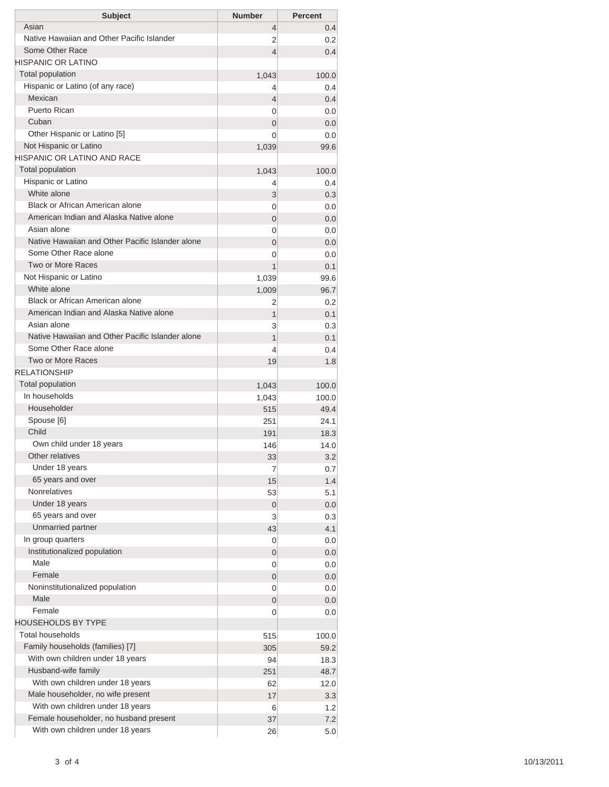| <b>Subject</b>                                               | <b>Number</b>  | <b>Percent</b> |
|--------------------------------------------------------------|----------------|----------------|
| Asian                                                        | $\overline{4}$ | 0.4            |
| Native Hawaiian and Other Pacific Islander                   | 2              | 0.2            |
| Some Other Race                                              | 4              | 0.4            |
| HISPANIC OR LATINO                                           |                |                |
| <b>Total population</b>                                      | 1,043          | 100.0          |
| Hispanic or Latino (of any race)                             | 4              | 0.4            |
| Mexican                                                      | 4              | 0.4            |
| Puerto Rican                                                 | 0              | 0.0            |
| Cuban                                                        | $\overline{0}$ | 0.0            |
| Other Hispanic or Latino [5]                                 | 0              | 0.0            |
| Not Hispanic or Latino<br><b>HISPANIC OR LATINO AND RACE</b> | 1,039          | 99.6           |
| <b>Total population</b>                                      |                |                |
| Hispanic or Latino                                           | 1,043          | 100.0<br>0.4   |
| White alone                                                  | 4<br>3         | 0.3            |
| Black or African American alone                              | 0              | 0.0            |
| American Indian and Alaska Native alone                      | $\overline{0}$ | 0.0            |
| Asian alone                                                  | 0              | 0.0            |
| Native Hawaiian and Other Pacific Islander alone             | $\overline{0}$ | 0.0            |
| Some Other Race alone                                        | 0              | 0.0            |
| Two or More Races                                            | 1              | 0.1            |
| Not Hispanic or Latino                                       | 1,039          | 99.6           |
| White alone                                                  | 1,009          | 96.7           |
| Black or African American alone                              | 2              | 0.2            |
| American Indian and Alaska Native alone                      | 1              | 0.1            |
| Asian alone                                                  | 3              | 0.3            |
| Native Hawaiian and Other Pacific Islander alone             | 1              | 0.1            |
| Some Other Race alone                                        | 4              | 0.4            |
| Two or More Races                                            | 19             | 1.8            |
| <b>RELATIONSHIP</b>                                          |                |                |
| Total population                                             | 1,043          | 100.0          |
| In households                                                | 1,043          | 100.0          |
| Householder                                                  | 515            | 49.4           |
| Spouse [6]                                                   | 251            | 24.1           |
| Child                                                        | 191            | 18.3           |
| Own child under 18 years                                     | 146            | 14.0           |
| Other relatives                                              | 33             | 3.2            |
| Under 18 years                                               | 7              | 0.7            |
| 65 years and over                                            | 15             | 1.4            |
| <b>Nonrelatives</b>                                          | 53             | 5.1            |
| Under 18 years                                               | $\mathbf 0$    | 0.0            |
| 65 years and over                                            | 3              | 0.3            |
| Unmarried partner                                            | 43             | 4.1            |
| In group quarters                                            | 0              | 0.0            |
| Institutionalized population                                 | 0              | 0.0            |
| Male                                                         | 0              | 0.0            |
| Female                                                       | 0              | 0.0            |
| Noninstitutionalized population                              | 0              | 0.0            |
| Male                                                         | 0              | 0.0            |
| Female                                                       | 0              | 0.0            |
| <b>HOUSEHOLDS BY TYPE</b>                                    |                |                |
| <b>Total households</b>                                      | 515            | 100.0          |
| Family households (families) [7]                             | 305            | 59.2           |
| With own children under 18 years                             | 94             | 18.3           |
| Husband-wife family                                          | 251            | 48.7           |
| With own children under 18 years                             | 62             | 12.0           |
| Male householder, no wife present                            | 17             | 3.3            |
| With own children under 18 years                             | 6              | 1.2            |
| Female householder, no husband present                       | 37             | 7.2            |
| With own children under 18 years                             | 26             | 5.0            |